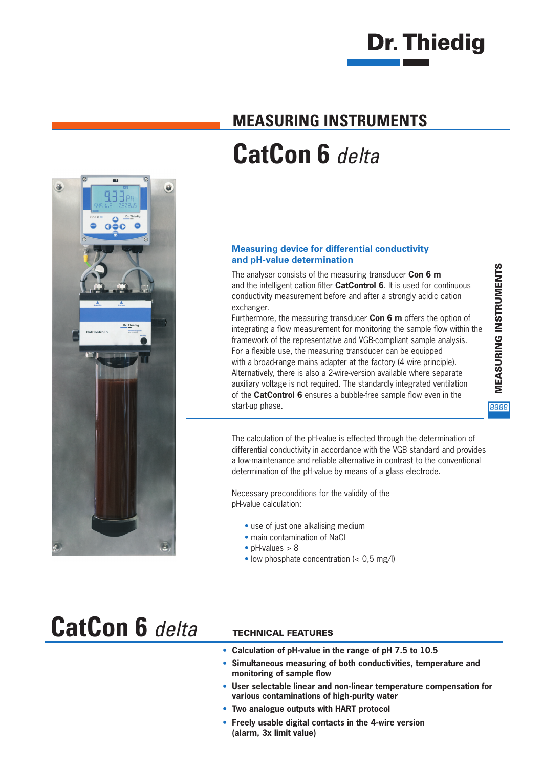

## **MEASURING INSTRUMENTS CatCon 6** *delta*



The analyser consists of the measuring transducer **Con 6 m** and the intelligent cation filter **CatControl 6**. It is used for continuous conductivity measurement before and after a strongly acidic cation exchanger.

Furthermore, the measuring transducer **Con 6 m** offers the option of integrating a flow measurement for monitoring the sample flow within the framework of the representative and VGB-compliant sample analysis. For a flexible use, the measuring transducer can be equipped with a broad-range mains adapter at the factory (4 wire principle). Alternatively, there is also a 2-wire-version available where separate auxiliary voltage is not required. The standardly integrated ventilation of the **CatControl 6** ensures a bubble-free sample flow even in the start-up phase.

MEASURING INSTRUMENTS **MEASURING INSTRUMENTS** 8888

The calculation of the pH-value is effected through the determination of differential conductivity in accordance with the VGB standard and provides a low-maintenance and reliable alternative in contrast to the conventional determination of the pH-value by means of a glass electrode.

Necessary preconditions for the validity of the pH-value calculation:

- use of just one alkalising medium
- main contamination of NaCl
- pH-values > 8
- low phosphate concentration  $\left( < 0.5 \text{ mg/l} \right)$

## **CatCon 6** *delta*

8

á.

 $\Omega$ 

### TECHNICAL FEATURES

- **Calculation of pH-value in the range of pH 7.5 to 10.5**
- **Simultaneous measuring of both conductivities, temperature and**  monitoring of sample flow
- **User selectable linear and non-linear temperature compensation for various contaminations of high-purity water**
- **Two analogue outputs with HART protocol**
- **Freely usable digital contacts in the 4-wire version (alarm, 3x limit value)**